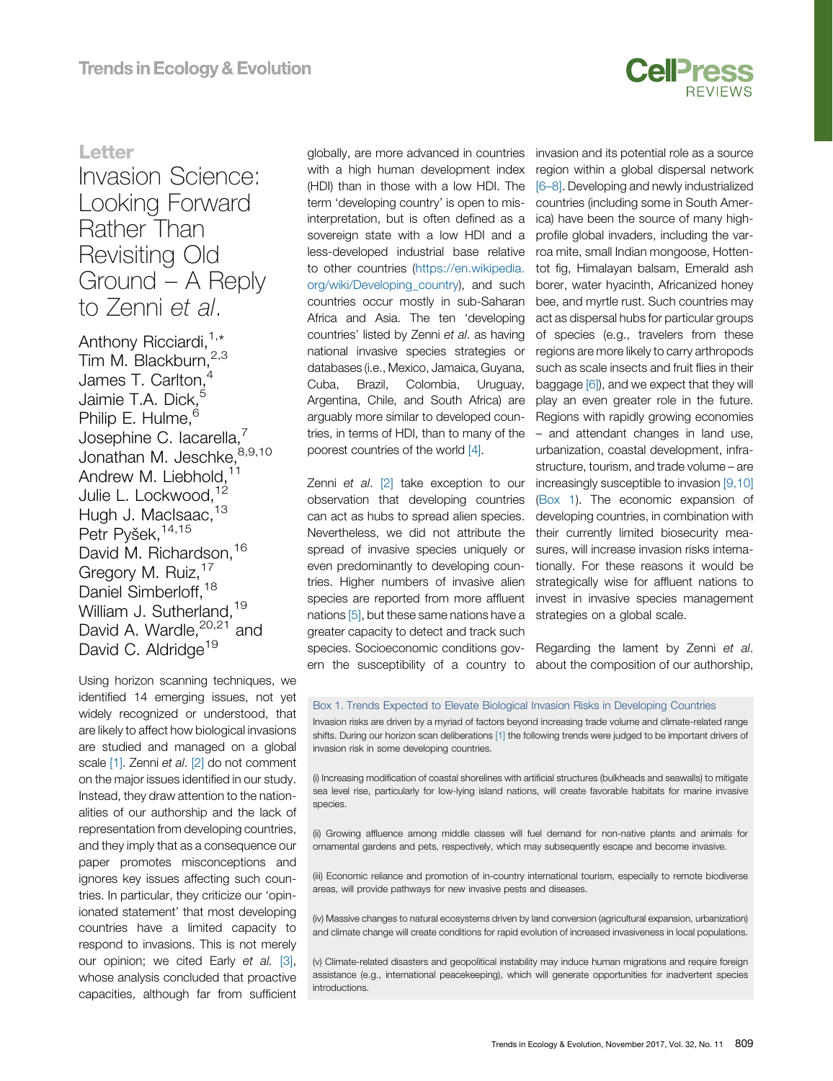

## Letter

# Invasion Science: Looking Forward Rather Than Revisiting Old Ground – A Reply to Zenni et al.

Anthony Ricciardi,<sup>[1,\\*](#page--1-0)</sup> Tim M. Blackburn, [2,3](#page--1-0) James T. Carlton,<sup>[4](#page--1-0)</sup> Jaimie T.A. Dick,<sup>[5](#page--1-0)</sup> Philip E. Hulme,<sup>6</sup> Josephine C. lacarella,<sup>[7](#page-1-0)</sup> Jonathan M. Jeschke, 8,9,10 Andrew M. Liebhold,<sup>[11](#page-1-0)</sup> Julie L. Lockwood.<sup>[12](#page-1-0)</sup> Hugh J. MacIsaac, [13](#page-1-0) Petr Pyšek, 14,15 David M. Richardson, <sup>[16](#page-1-0)</sup> Gregory M. Ruiz, <sup>17</sup> Daniel Simberloff.<sup>[18](#page-1-0)</sup> William J. Sutherland.<sup>19</sup> David A. Wardle,<sup>20,21</sup> [and](#page-1-0) David C. Aldridge<sup>19</sup>

Using horizon scanning techniques, we identified 14 emerging issues, not yet widely recognized or understood, that are likely to affect how biological invasions are studied and managed on a global scale [\[1\].](#page-1-0) Zenni et al. [\[2\]](#page-1-0) do not comment on the major issues identified in our study. Instead, they draw attention to the nationalities of our authorship and the lack of representation from developing countries, and they imply that as a consequence our paper promotes misconceptions and ignores key issues affecting such countries. In particular, they criticize our 'opinionated statement' that most developing countries have a limited capacity to respond to invasions. This is not merely our opinion; we cited Early et al. [\[3\]](#page-1-0), whose analysis concluded that proactive capacities, although far from sufficient

globally, are more advanced in countries with a high human development index (HDI) than in those with a low HDI. The term 'developing country' is open to misinterpretation, but is often defined as a sovereign state with a low HDI and a less-developed industrial base relative to other countries ([https://en.wikipedia.](https://en.wikipedia.org/wiki/Developing_country) [org/wiki/Developing\\_country](https://en.wikipedia.org/wiki/Developing_country)), and such countries occur mostly in sub-Saharan Africa and Asia. The ten 'developing countries' listed by Zenni et al. as having national invasive species strategies or databases (i.e., Mexico, Jamaica, Guyana, Cuba, Brazil, Colombia, Uruguay, Argentina, Chile, and South Africa) are arguably more similar to developed countries, in terms of HDI, than to many of the poorest countries of the world [\[4\]](#page-1-0).

Zenni et al. [\[2\]](#page-1-0) take exception to our observation that developing countries can act as hubs to spread alien species. Nevertheless, we did not attribute the spread of invasive species uniquely or even predominantly to developing countries. Higher numbers of invasive alien species are reported from more affluent nations [\[5\],](#page-1-0) but these same nations have a greater capacity to detect and track such species. Socioeconomic conditions gov- Regarding the lament by Zenni et al. ern the susceptibility of a country to about the composition of our authorship,

invasion and its potential role as a source region within a global dispersal network [6–[8\].](#page-1-0) Developing and newly industrialized countries (including some in South America) have been the source of many highprofile global invaders, including the varroa mite, small Indian mongoose, Hottentot fig, Himalayan balsam, Emerald ash borer, water hyacinth, Africanized honey bee, and myrtle rust. Such countries may act as dispersal hubs for particular groups of species (e.g., travelers from these regions are more likely to carry arthropods such as scale insects and fruit flies in their baggage [\[6\]\)](#page-1-0), and we expect that they will play an even greater role in the future. Regions with rapidly growing economies – and attendant changes in land use, urbanization, coastal development, infrastructure, tourism, and trade volume – are increasingly susceptible to invasion [\[9,10\]](#page-1-0) (Box 1). The economic expansion of developing countries, in combination with their currently limited biosecurity measures, will increase invasion risks internationally. For these reasons it would be strategically wise for affluent nations to invest in invasive species management strategies on a global scale.

#### Box 1. Trends Expected to Elevate Biological Invasion Risks in Developing Countries

Invasion risks are driven by a myriad of factors beyond increasing trade volume and climate-related range shifts. During our horizon scan deliberations [\[1\]](#page-1-0) the following trends were judged to be important drivers of invasion risk in some developing countries.

(i) Increasing modification of coastal shorelines with artificial structures (bulkheads and seawalls) to mitigate sea level rise, particularly for low-lying island nations, will create favorable habitats for marine invasive species.

(ii) Growing affluence among middle classes will fuel demand for non-native plants and animals for ornamental gardens and pets, respectively, which may subsequently escape and become invasive.

(iii) Economic reliance and promotion of in-country international tourism, especially to remote biodiverse areas, will provide pathways for new invasive pests and diseases.

(iv) Massive changes to natural ecosystems driven by land conversion (agricultural expansion, urbanization) and climate change will create conditions for rapid evolution of increased invasiveness in local populations.

(v) Climate-related disasters and geopolitical instability may induce human migrations and require foreign assistance (e.g., international peacekeeping), which will generate opportunities for inadvertent species introductions.